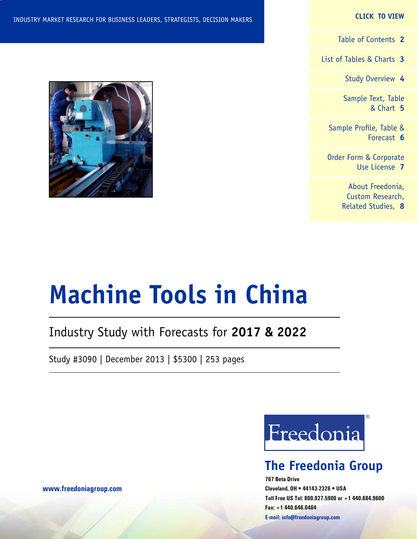#### **CLICK TO VIEW**

[Table of Contents](#page-1-0) **2**

[List of Tables & Charts](#page-2-0) **3**

[Study Overview](#page-3-0) **4**

[Sample Text, Table](#page-4-0) [& Chart](#page-4-0) **5**

[Sample Profile, Table &](#page-5-0) [Forecast](#page-5-0) **6**

[Order Form & Corporate](#page-6-0) [Use License](#page-6-0) **7**

> [About Freedonia,](#page-7-0) [Custom Research,](#page-7-0) [Related Studies,](#page-7-0) **8**



# **Machine Tools in China**

# Industry Study with Forecasts for **2017 & 2022**

Study #3090 | December 2013 | \$5300 | 253 pages



# **The Freedonia Group**

**767 Beta Drive Cleveland, OH • 44143-2326 • USA Toll Free US Tel: 800.927.5900 or +1 440.684.9600 Fax: +1 440.646.0484 E-mail: [info@freedoniagroup.com](mailto:info@freedoniagroup.com)**

**[www.freedoniagroup.com](http://www.freedoniagroup.com/Home.aspx?ReferrerId=FM-Bro)**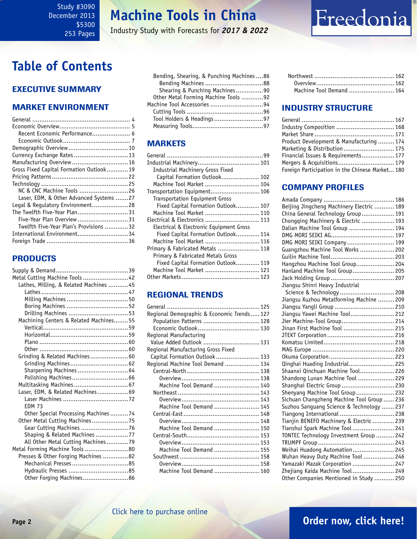<span id="page-1-0"></span>Study #3090 December 2013 \$5300 253 Pages

# **Machine Tools in China**

Industry Study with Forecasts for *2017 & 2022*

# Freedonia

# **Table of Contents**

## Executive Summary

## Market EnvironmenT

| Recent Economic Performance 6           |  |
|-----------------------------------------|--|
|                                         |  |
| Demographic Overview 10                 |  |
| Currency Exchange Rates 13              |  |
| Manufacturing Overview  16              |  |
| Gross Fixed Capital Formation Outlook19 |  |
|                                         |  |
|                                         |  |
| NC & CNC Machine Tools 26               |  |
| Laser, EDM, & Other Advanced Systems 27 |  |
| Legal & Regulatory Environment28        |  |
| The Twelfth Five-Year Plan31            |  |
| Five-Year Plan Overview31               |  |
| Twelfth Five-Year Plan's Provisions 32  |  |
| International Environment34             |  |
|                                         |  |

## **PRODUCTS**

| Metal Cutting Machine Tools 42         |  |
|----------------------------------------|--|
| Lathes, Milling, & Related Machines 45 |  |
|                                        |  |
|                                        |  |
|                                        |  |
|                                        |  |
| Machining Centers & Related Machines55 |  |
|                                        |  |
|                                        |  |
|                                        |  |
|                                        |  |
| Grinding & Related Machines60          |  |
|                                        |  |
| Sharpening Machines  64                |  |
|                                        |  |
|                                        |  |
| Laser, EDM, & Related Machines69       |  |
|                                        |  |
| <b>FDM 73</b>                          |  |
| Other Special Processing Machines74    |  |
| Other Metal Cutting Machines75         |  |
| Gear Cutting Machines 76               |  |
| Shaping & Related Machines 77          |  |
| All Other Metal Cutting Machines79     |  |
| Metal Forming Machine Tools 80         |  |
| Presses & Other Forging Machines 82    |  |
|                                        |  |
|                                        |  |
| Other Forging Machines86               |  |

| Bending, Shearing, & Punching Machines  86 |  |
|--------------------------------------------|--|
|                                            |  |
| Shearing & Punching Machines90             |  |
| Other Metal Forming Machine Tools 92       |  |
| Machine Tool Accessories 94                |  |
|                                            |  |
|                                            |  |
|                                            |  |
|                                            |  |

## **MARKETS**

| Industrial Machinery Gross Fixed        |  |
|-----------------------------------------|--|
| Capital Formation Outlook 102           |  |
| Machine Tool Market  104                |  |
| Transportation Equipment 106            |  |
| <b>Transportation Equipment Gross</b>   |  |
| Fixed Capital Formation Outlook 107     |  |
| Machine Tool Market  110                |  |
| Electrical & Electronics  113           |  |
| Electrical & Electronic Equipment Gross |  |
| Fixed Capital Formation Outlook 114     |  |
| Machine Tool Market  116                |  |
| Primary & Fabricated Metals  118        |  |
| Primary & Fabricated Metals Gross       |  |
| Fixed Capital Formation Outlook 119     |  |
| Machine Tool Market  121                |  |
|                                         |  |

## REGIONAL TRENDS

| Regional Demographic & Economic Trends 127 |  |
|--------------------------------------------|--|
| Population Patterns  128                   |  |
|                                            |  |
| Regional Manufacturing                     |  |
| Value Added Outlook  131                   |  |
| Regional Manufacturing Gross Fixed         |  |
| Capital Formation Outlook 133              |  |
| Regional Machine Tool Demand  134          |  |
|                                            |  |
|                                            |  |
| Machine Tool Demand  140                   |  |
|                                            |  |
|                                            |  |
| Machine Tool Demand  145                   |  |
|                                            |  |
|                                            |  |
| Machine Tool Demand  150                   |  |
|                                            |  |
|                                            |  |
| Machine Tool Demand  155                   |  |
|                                            |  |
|                                            |  |
| Machine Tool Demand  160                   |  |
|                                            |  |

| Machine Tool Demand  164 |  |
|--------------------------|--|

## INDUSTRY STRUCTURE

| Industry Composition  168                       |  |
|-------------------------------------------------|--|
|                                                 |  |
| Product Development & Manufacturing  174        |  |
| Marketing & Distribution  175                   |  |
| Financial Issues & Requirements 177             |  |
| Mergers & Acquisitions 179                      |  |
| Foreign Participation in the Chinese Market 180 |  |
|                                                 |  |

## Company Profiles

| Beijing Jingcheng Machinery Electric  189  |  |
|--------------------------------------------|--|
| China General Technology Group 191         |  |
| Chongqing Machinery & Electric  193        |  |
| Dalian Machine Tool Group  194             |  |
|                                            |  |
| DMG MORI SEIKI Company 199                 |  |
| Guangzhou Machine Tool Works  202          |  |
|                                            |  |
| Hangzhou Machine Tool Group 204            |  |
| Hanland Machine Tool Group 205             |  |
|                                            |  |
| Jiangsu Shinri Heavy Industrial            |  |
| Science & Technology  208                  |  |
| Jiangsu Xuzhou Metalforming Machine  209   |  |
| Jiangsu Yangli Group  210                  |  |
| Jiangsu Yawei Machine Tool 212             |  |
| Jier Machine-Tool Group 214                |  |
| Jinan First Machine Tool  215              |  |
|                                            |  |
|                                            |  |
|                                            |  |
|                                            |  |
| Qinghai Huading Industrial 225             |  |
| Shaanxi Qinchuan Machine Tool 226          |  |
| Shandong Lunan Machine Tool  229           |  |
| Shanghai Electric Group  230               |  |
| Shenyang Machine Tool Group  232           |  |
| Sichuan Changzheng Machine Tool Group  236 |  |
| Suzhou Sanguang Science & Technology  237  |  |
| Tiangong International  238                |  |
| Tianjin BENEFO Machinery & Electric  239   |  |
| Tianshui Spark Machine Tool  241           |  |
| TONTEC Technology Investment Group  242    |  |
|                                            |  |
| Weihai Huadong Automation 245              |  |
| Wuhan Heavy Duty Machine Tool  246         |  |
| Yamazaki Mazak Corporation  247            |  |
| Zhejiang Kaida Machine Tool 249            |  |
| Other Companies Mentioned in Study  250    |  |

## **Page 2 [Order now, click here!](#page-6-0)**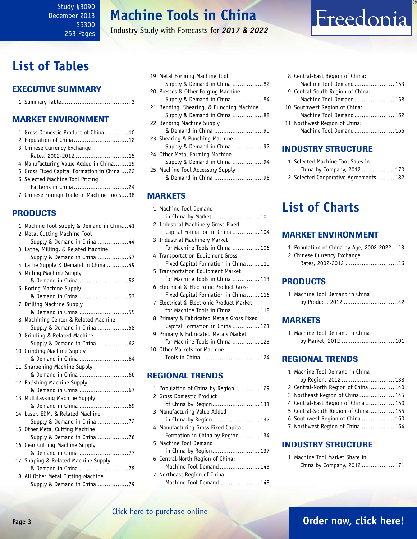# **Machine Tools in China**

Industry Study with Forecasts for *2017 & 2022*

# <span id="page-2-0"></span>**List of Tables**

## Executive Summary

|--|

## Market EnvironmenT

| 1 Gross Domestic Product of China10         |
|---------------------------------------------|
| 2 Population of China 12                    |
| 3 Chinese Currency Exchange                 |
| Rates, 2002-2012 15                         |
| 4 Manufacturing Value Added in China19      |
| 5 Gross Fixed Capital Formation in China 22 |
| 6 Selected Machine Tool Pricing             |
| Patterns in China24                         |
| 7 Chinese Foreign Trade in Machine Tools38  |
|                                             |

## PRODUCTS

| 1 Machine Tool Supply & Demand in China41 |
|-------------------------------------------|
| 2 Metal Cutting Machine Tool              |
| Supply & Demand in China 44               |
| 3 Lathe, Milling, & Related Machine       |
| Supply & Demand in China 47               |
| 4 Lathe Supply & Demand in China 49       |
| 5 Milling Machine Supply                  |
| & Demand in China 52                      |
| 6 Boring Machine Supply                   |
| & Demand in China 53                      |
| 7 Drilling Machine Supply                 |
| & Demand in China 55                      |
| 8 Machining Center & Related Machine      |
| Supply & Demand in China 58               |
| 9 Grinding & Related Machine              |
| Supply & Demand in China 62               |
| 10 Grinding Machine Supply                |
| & Demand in China  64                     |
| 11 Sharpening Machine Supply              |
|                                           |
| 12 Polishing Machine Supply               |
| & Demand in China  67                     |
| 13 Multitasking Machine Supply            |
|                                           |
| 14 Laser, EDM, & Related Machine          |
| Supply & Demand in China 72               |
| 15 Other Metal Cutting Machine            |
| Supply & Demand in China 76               |
| 16 Gear Cutting Machine Supply            |
| & Demand in China 77                      |
| 17 Shaping & Related Machine Supply       |
|                                           |
| 18 All Other Metal Cutting Machine        |
| Supply & Demand in China 79               |

|  | 19 Metal Forming Machine Tool            |  |
|--|------------------------------------------|--|
|  | Supply & Demand in China 82              |  |
|  | 20 Presses & Other Forging Machine       |  |
|  | Supply & Demand in China 84              |  |
|  | 21 Bending, Shearing, & Punching Machine |  |
|  | Supply & Demand in China 88              |  |
|  | 22 Bending Machine Supply                |  |
|  | & Demand in China 90                     |  |
|  | 23 Shearing & Punching Machine           |  |
|  | Supply & Demand in China 92              |  |
|  | 24 Other Metal Forming Machine           |  |
|  | Supply & Demand in China 94              |  |
|  | 25 Machine Tool Accessory Supply         |  |
|  | & Demand in China 96                     |  |
|  |                                          |  |

#### **MARKETS**

| 1 Machine Tool Demand                     |
|-------------------------------------------|
| in China by Market 100                    |
| 2 Industrial Machinery Gross Fixed        |
| Capital Formation in China  104           |
| 3 Industrial Machinery Market             |
| for Machine Tools in China  106           |
| 4 Transportation Equipment Gross          |
| Fixed Capital Formation in China  110     |
| 5 Transportation Equipment Market         |
| for Machine Tools in China  113           |
| 6 Electrical & Electronic Product Gross   |
| Fixed Capital Formation in China  116     |
| 7 Electrical & Electronic Product Market  |
| for Machine Tools in China  118           |
| 8 Primary & Fabricated Metals Gross Fixed |
| Capital Formation in China  121           |
| 9 Primary & Fabricated Metals Market      |
| for Machine Tools in China  123           |
| 10 Other Markets for Machine              |
| Tools in China  124                       |
|                                           |

## REGIONAL TRENDS

| 1 Population of China by Region  129 |
|--------------------------------------|
| 2 Gross Domestic Product             |
|                                      |
| 3 Manufacturing Value Added          |
| in China by Region 132               |
| 4 Manufacturing Gross Fixed Capital  |
| Formation in China by Region  134    |
| 5 Machine Tool Demand                |
| in China by Region 137               |
| 6 Central-North Region of China:     |
| Machine Tool Demand 143              |
| 7 Northeast Region of China:         |
| Machine Tool Demand 148              |
|                                      |

| 8 Central-East Region of China:  |  |
|----------------------------------|--|
| Machine Tool Demand 153          |  |
| 9 Central-South Region of China: |  |
| Machine Tool Demand 158          |  |
| 10 Southwest Region of China:    |  |
| Machine Tool Demand 162          |  |
| 11 Northwest Region of China:    |  |
| Machine Tool Demand 166          |  |
|                                  |  |

Freedonia

## INDUSTRY STRUCTURE

| 1 Selected Machine Tool Sales in      |  |
|---------------------------------------|--|
| China by Company, 2012 170            |  |
| 2 Selected Cooperative Agreements 182 |  |

# **List of Charts**

### Market EnvironmenT

|  |  | 1 Population of China by Age, 2002-202213 |
|--|--|-------------------------------------------|
|  |  |                                           |

- 2 Chinese Currency Exchange
	- Rates, 2002-2012 .............................16

## **PRODUCTS**

| 1 Machine Tool Demand in China |  |
|--------------------------------|--|
|                                |  |

#### MARKETS

| 1 Machine Tool Demand in China |  |
|--------------------------------|--|
| by Market, 2012  101           |  |

### REGIONAL TRENDS

| 1 Machine Tool Demand in China      |  |
|-------------------------------------|--|
| by Region, 2012  138                |  |
| 2 Central-North Region of China 140 |  |
| 3 Northeast Region of China  145    |  |
| 4 Central-East Region of China 150  |  |
| 5 Central-South Region of China 155 |  |
| 6 Southwest Region of China  160    |  |
| 7 Northwest Region of China  164    |  |
|                                     |  |
| <b>INDUSTRY STRUCTURE</b>           |  |

1 Machine Tool Market Share in China by Company, 2012 .................. 171

## **Page 3 [Order now, click here!](#page-6-0)**

### [Click here to purchase online](http://www.freedoniagroup.com/DocumentDetails.aspx?Referrerid=FM-Bro&StudyID=3090)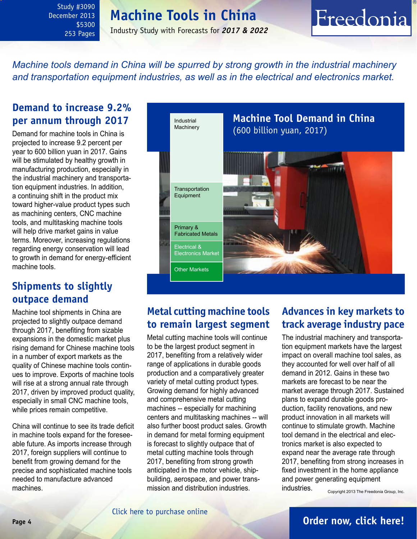<span id="page-3-0"></span>Study #3090 December 2013 \$5300 253 Pages

# **Machine Tools in China**

Industry Study with Forecasts for *2017 & 2022*

# Freedonia

*Machine tools demand in China will be spurred by strong growth in the industrial machinery and transportation equipment industries, as well as in the electrical and electronics market.*

## **Demand to increase 9.2% per annum through 2017**

Demand for machine tools in China is projected to increase 9.2 percent per year to 600 billion yuan in 2017. Gains will be stimulated by healthy growth in manufacturing production, especially in the industrial machinery and transportation equipment industries. In addition, a continuing shift in the product mix toward higher-value product types such as machining centers, CNC machine tools, and multitasking machine tools will help drive market gains in value terms. Moreover, increasing regulations regarding energy conservation will lead to growth in demand for energy-efficient machine tools.

## **Shipments to slightly outpace demand**

Machine tool shipments in China are projected to slightly outpace demand through 2017, benefiting from sizable expansions in the domestic market plus rising demand for Chinese machine tools in a number of export markets as the quality of Chinese machine tools continues to improve. Exports of machine tools will rise at a strong annual rate through 2017, driven by improved product quality, especially in small CNC machine tools, while prices remain competitive.

China will continue to see its trade deficit in machine tools expand for the foreseeable future. As imports increase through 2017, foreign suppliers will continue to benefit from growing demand for the precise and sophisticated machine tools needed to manufacture advanced machines.



## **Metal cutting machine tools to remain largest segment**

Metal cutting machine tools will continue to be the largest product segment in 2017, benefiting from a relatively wider range of applications in durable goods production and a comparatively greater variety of metal cutting product types. Growing demand for highly advanced and comprehensive metal cutting machines -- especially for machining centers and multitasking machines -- will also further boost product sales. Growth in demand for metal forming equipment is forecast to slightly outpace that of metal cutting machine tools through 2017, benefiting from strong growth anticipated in the motor vehicle, shipbuilding, aerospace, and power transmission and distribution industries.

# **Advances in key markets to track average industry pace**

The industrial machinery and transportation equipment markets have the largest impact on overall machine tool sales, as they accounted for well over half of all demand in 2012. Gains in these two markets are forecast to be near the market average through 2017. Sustained plans to expand durable goods production, facility renovations, and new product innovation in all markets will continue to stimulate growth. Machine tool demand in the electrical and electronics market is also expected to expand near the average rate through 2017, benefiting from strong increases in fixed investment in the home appliance and power generating equipment industries. Copyright 2013 The Freedonia Group, Inc.

## **Page 4 [Order now, click here!](#page-6-0)**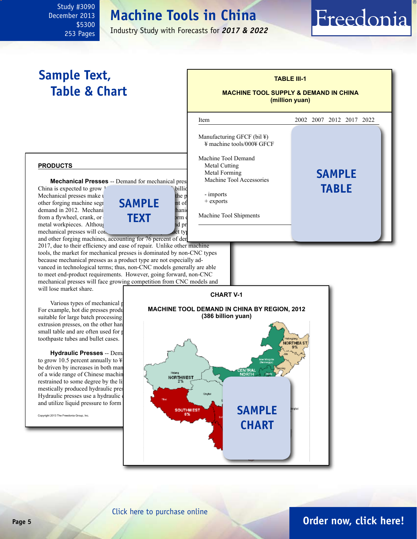# **Machine Tools in China**

Industry Study with Forecasts for *2017 & 2022*

l

# **Sample Text, Table & Chart**

<span id="page-4-0"></span>Study #3090 December 2013

> \$5300 253 Pages

## **MACHINE TOOL SUPPLY & DEMAND IN CHINA**

Freedonia

**(million yuan)**

**TABLE III-1**

#### **products**

**Mechanical Presses** -- Demand for mechanical pres China is expected to grow <sup>1</sup> percent and <sup>3</sup>61 billion in 2018. Mechanical presses make  $\mu$  the presses and presses and presses and presses and presses and presses and presses and presses and presses and presses and presses and presses and presses and presses and presses and presses other forging machine segreent  $\mathbf{SAMPI}$  **F** demand in 2012. Mechanical presses are driven by mechanical presses are driven by mechanical power of the mechanical power mechanical power are defined by mechanical power and power mechanical power mechanical power mechan from a flywheel, crank, or **clutch and exert pressure to form or shape pressure to form or shape or shape or shape or shape or shape or shape or shape or shape or shape or shape or shape or shape or shape or shape or shap** metal workpieces. Although the state and product low-end product low-end product low-end product low-end product lowmechanical presses will continue to be determined by the largest product type of product type of product type of presses will continue to be determined by the largest product type of product type of product type of product and other forging machines, accounting for 76 percent of der **sample TEXT** 

2017, due to their efficiency and ease of repair. Unlike other machine tools, the market for mechanical presses is dominated by non-CNC types because mechanical presses as a product type are not especially advanced in technological terms; thus, non-CNC models generally are able to meet end-product requirements. However, going forward, non-CNC mechanical presses will face growing competition from CNC models and will lose market share.

Various types of mechanical presses For example, hot die presses produ suitable for large batch processing extrusion presses, on the other hand small table and are often used for p toothpaste tubes and bullet cases.

**Hydraulic Presses -- Dem** to grow 10.5 percent annually to  $\frac{1}{2}$ be driven by increases in both man of a wide range of Chinese machines. restrained to some degree by the li mestically produced hydraulic pres Hydraulic presses use a hydraulic and utilize liquid pressure to form





Item 2002 2007 2012 2017 2022 Manufacturing GFCF (bil  $\angle$ )  $\frac{1}{2}$  machine tools/000¥ GFCF Machine Tool Demand Metal Cutting<br>Metal Forming Metal Forming<br>Machine Tool Accessories<br>**SAMPLE** Machine Tool Accessories - imports  $+$  exports Machine Tool Shipments **table**

## **Page 5 [Order now, click here!](#page-6-0)**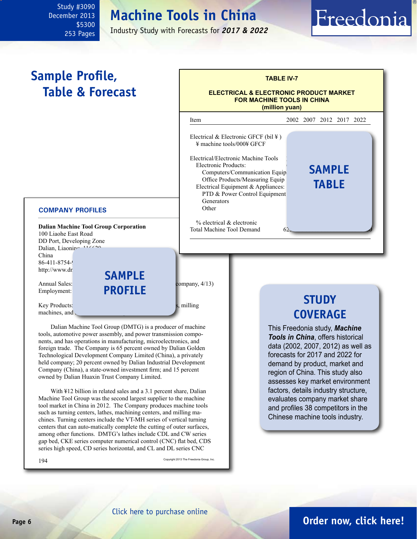#### <span id="page-5-0"></span>Study #3090 December 2013 \$5300 253 Pages

# **Machine Tools in China**

Industry Study with Forecasts for *2017 & 2022*

# Freedonia

#### **Dalian Machine Tool Group Corporation** 100 Liaohe East Road DD Port, Developing Zone Dalian, Liaoning 116620 China 86-411-8754-9 http://www.dn Annual Sales:<br>Employment: **PROFILE** company, 4/13) Employment: **PROFILE**  $Key Products:$ machines, and  $\sqrt{ }$ Dalian Machine Tool Group (DMTG) is a producer of machine **COMPANY PROFILES TABLE IV-7 ELECTRICAL & ELECTRONIC PRODUCT MARKET FOR MACHINE TOOLS IN CHINA (million yuan)** Item 2002 2007 2012 2017 2022 Electrical & Electronic GFCF (bil  $\yen$ )  $\frac{1}{2}$  machine tools/000¥ GFCF Electrical/Electronic Machine Tools Electronic Products: Computers/Communication Equip Office Products/Measuring Equip Electrical Equipment & Appliances: PTD & Power Control Equipment Generators Other 150 1650 5150 8900 14400  $%$  electrical  $&$  electronic Total Machine Tool Demand **Sample Profile, Table & Forecast sample sample table STUDY COVERAGE** This Freedonia study, *Machine*

tools, automotive power assembly, and power transmission components, and has operations in manufacturing, microelectronics, and foreign trade. The Company is 65 percent owned by Dalian Golden Technological Development Company Limited (China), a privately held company; 20 percent owned by Dalian Industrial Development Company (China), a state-owned investment firm; and 15 percent owned by Dalian Huaxin Trust Company Limited.

With ¥12 billion in related sales and a 3.1 percent share, Dalian Machine Tool Group was the second largest supplier to the machine tool market in China in 2012. The Company produces machine tools such as turning centers, lathes, machining centers, and milling machines. Turning centers include the VT-MH series of vertical turning centers that can auto-matically complete the cutting of outer surfaces, among other functions. DMTG's lathes include CDL and CW series gap bed, CKE series computer numerical control (CNC) flat bed, CDS series high speed, CD series horizontal, and CL and DL series CNC

194 Copyright 2013 The Freedonia Group, Inc.

*Tools in China*, offers historical data (2002, 2007, 2012) as well as forecasts for 2017 and 2022 for demand by product, market and region of China. This study also assesses key market environment factors, details industry structure, evaluates company market share and profiles 38 competitors in the Chinese machine tools industry.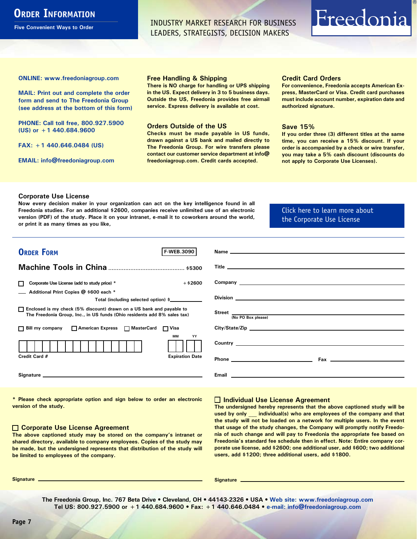## <span id="page-6-0"></span>**ORDER INFORMATION**

**Five Convenient Ways to Order**

INDUSTRY MARKET RESEARCH FOR BUSINESS LEADERS, STRATEGISTS, DECISION MAKERS

# Freedonia

**ONLINE: [www.freedoniagroup.com](http://www.freedoniagroup.com/DocumentDetails.aspx?Referrerid=FM-Bro&StudyID=xxxx)**

**MAIL: Print out and complete the order form and send to The Freedonia Group (see address at the bottom of this form)**

**PHONE: Call toll free, 800.927.5900 (US) or +1 440.684.9600**

**FAX: +1 440.646.0484 (US)**

**EMAIL: [info@freedoniagroup.com](mailto:info@freedoniagroup.com)**

#### **Free Handling & Shipping**

**There is NO charge for handling or UPS shipping in the US. Expect delivery in 3 to 5 business days. Outside the US, Freedonia provides free airmail service. Express delivery is available at cost.**

#### **Orders Outside of the US**

**Checks must be made payable in US funds, drawn against a US bank and mailed directly to The Freedonia Group. For wire transfers please contact our customer service department at info@ freedoniagroup.com. Credit cards accepted.**

#### **Credit Card Orders**

**For convenience, Freedonia accepts American Express, MasterCard or Visa. Credit card purchases must include account number, expiration date and authorized signature.**

#### **Save 15%**

**If you order three (3) different titles at the same time, you can receive a 15% discount. If your order is accompanied by a check or wire transfer, you may take a 5% cash discount (discounts do not apply to Corporate Use Licenses).**

#### **Corporate Use License**

**Now every decision maker in your organization can act on the key intelligence found in all Freedonia studies. For an additional \$2600, companies receive unlimited use of an electronic version (PDF) of the study. Place it on your intranet, e-mail it to coworkers around the world, or print it as many times as you like,** 

[Click here to learn more about](http://www.freedoniagroup.com/pdf/FreedoniaCULBro.pdf)  [the Corporate Use License](http://www.freedoniagroup.com/pdf/FreedoniaCULBro.pdf)

| <b>ORDER FORM</b><br>F-WEB.3090                                          |                                                                                                                                                                                                                                      |
|--------------------------------------------------------------------------|--------------------------------------------------------------------------------------------------------------------------------------------------------------------------------------------------------------------------------------|
|                                                                          |                                                                                                                                                                                                                                      |
|                                                                          |                                                                                                                                                                                                                                      |
|                                                                          |                                                                                                                                                                                                                                      |
| $+$ \$2600<br>Corporate Use License (add to study price) *               | Company <u>the company of the company of the company of the company of the company of the company of the company of the company of the company of the company of the company of the company of the company of the company of the</u> |
| Additional Print Copies @ \$600 each *                                   |                                                                                                                                                                                                                                      |
| Total (including selected option) \$____________                         | Division <b>Division Division Contract Contract Contract Contract Contract Contract Contract Contract Contract Contract Contract Contract Contract Contract Contract Contract Contract Contract Contract Contract Contract C</b>     |
|                                                                          |                                                                                                                                                                                                                                      |
| □ Enclosed is my check (5% discount) drawn on a US bank and payable to   |                                                                                                                                                                                                                                      |
| The Freedonia Group, Inc., in US funds (Ohio residents add 8% sales tax) | Street (No PO Box please)                                                                                                                                                                                                            |
| □ Bill my company □ American Express □ MasterCard □ Visa                 | City/State/Zip                                                                                                                                                                                                                       |
| MМ<br>YY                                                                 |                                                                                                                                                                                                                                      |
|                                                                          |                                                                                                                                                                                                                                      |
|                                                                          |                                                                                                                                                                                                                                      |
| Credit Card #<br><b>Expiration Date</b>                                  |                                                                                                                                                                                                                                      |
|                                                                          |                                                                                                                                                                                                                                      |
|                                                                          |                                                                                                                                                                                                                                      |
|                                                                          |                                                                                                                                                                                                                                      |
|                                                                          |                                                                                                                                                                                                                                      |

**\* Please check appropriate option and sign below to order an electronic version of the study.**

#### **Corporate Use License Agreement**

**The above captioned study may be stored on the company's intranet or shared directory, available to company employees. Copies of the study may be made, but the undersigned represents that distribution of the study will be limited to employees of the company.**

#### **Individual Use License Agreement**

**The undersigned hereby represents that the above captioned study will be used by only \_\_\_ individual(s) who are employees of the company and that the study will not be loaded on a network for multiple users. In the event that usage of the study changes, the Company will promptly notify Freedonia of such change and will pay to Freedonia the appropriate fee based on Freedonia's standard fee schedule then in effect. Note: Entire company corporate use license, add \$2600; one additional user, add \$600; two additional users, add \$1200; three additional users, add \$1800.**

**Signature Signature**

**The Freedonia Group, Inc. 767 Beta Drive • Cleveland, OH • 44143-2326 • USA • [Web site: www.freedoniagroup.com](http://www.freedoniagroup.com/Home.aspx?ReferrerId=FM-Bro) Tel US: 800.927.5900 or +1 440.684.9600 • Fax: +1 440.646.0484 • [e-mail: info@freedoniagroup.com](mailto:info@freedoniagroup.com)**